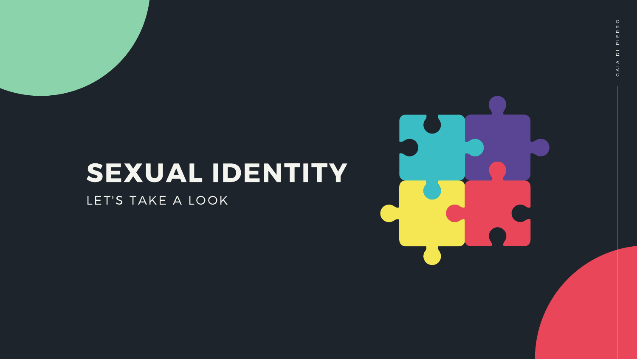# SEXUAL IDENTITY LET'S TAKE A LOOK

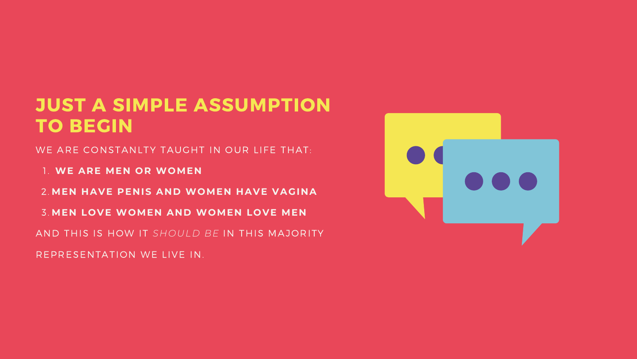- WE ARE CONSTANLTY TAUGHT IN OUR LIFE THAT:
- **WE ARE MEN OR WOMEN** 1.
- **MEN HAVE PENIS AND WOMEN HAVE VAGINA** 2.
- **MEN LOVE WOMEN AND WOMEN LOVE MEN** 3.
- AND THIS IS HOW IT *SHOULD BE* IN THIS MAJORITY
- REPRESENTATION WE LIVE IN.



### JUST A SIMPLE ASSUMPTION TO BEGIN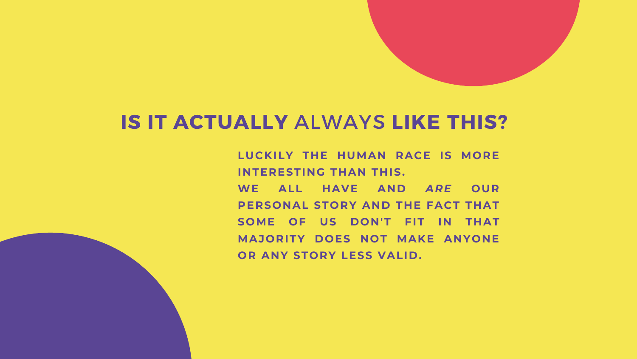**LUCKILY THE HUMAN RACE IS MORE INTERESTING THAN THIS. WE ALL HAVE AND** *ARE* **OUR PERSONAL STORY AND THE FACT THAT SOME OF US DON'T FIT IN THAT MAJORITY DOES NOT MAKE ANYONE OR ANY STORY LESS VALID.**

- 
- 
- 
- 
- 

# IS IT ACTUALLY ALWAYS LIKE THIS?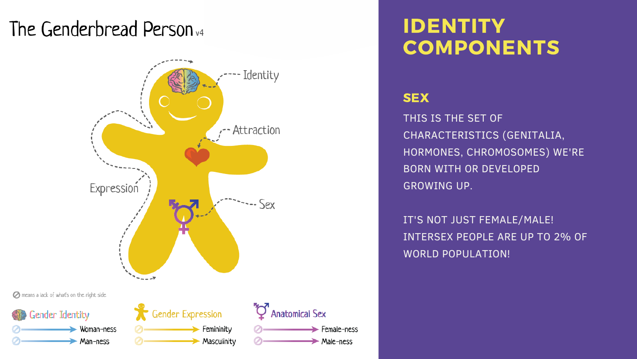THIS IS THE SET OF CHARACTERISTICS (GENITALIA, HORMONES, CHROMOSOMES) WE'RE BORN WITH OR DEVELOPED GROWING UP.

IT'S NOT JUST FEMALE/MALE! INTERSEX PEOPLE ARE UP TO 2% OF WORLD POPULATION!

## The Genderbread Person<sub>v4</sub>



## IDENTITY COMPONENTS

#### **SEX**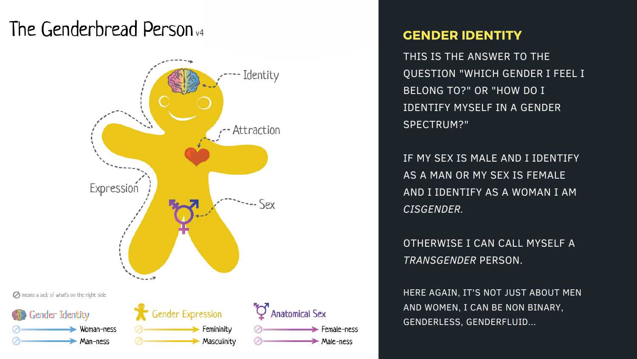## The Genderbread Person<sub>v4</sub>



THIS IS THE ANSWER TO THE QUESTION "WHICH GENDER I FEEL I BELONG TO?" OR "HOW DO I IDENTIFY MYSELF IN A GENDER SPECTRUM?" **GENDER IDENTITY**<br>THIS IS THE ANSWER TO T<br>QUESTION "WHICH GENDE<br>BELONG TO?" OR "HOW DO<br>IDENTIFY MYSELF IN A GEI<br>SPECTRUM?"<br>IF MY SEX IS MALE AND I I<br>AS A MAN OR MY SEX IS FE<br>AND I IDENTIFY AS A WOM<br>*CISGENDER.*<br>OTHERWISE I

IF MY SEX IS MALE AND I IDENTIFY AS A MAN OR MY SEX IS FEMALE AND I IDENTIFY AS A WOMAN I AM *C IS G E N D E R.*

OTHERWISE I CAN CALL MYSELF A **TRANSGENDER PERSON.** 

HERE AGAIN, IT'S NOT JUST ABOUT MEN AND WOMEN, I CAN BE NON BINARY,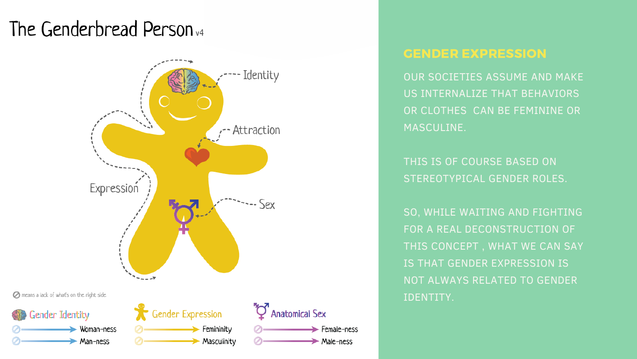OUR SOCIETIES ASSUME AND MAKE US INTERNALIZE THAT BEHAVIORS OR CLOTHES CAN BE FEMININE OR MASCULINE.

THIS IS OF COURSE BASED ON STEREOTYPICAL GENDER ROLES.

SO, WHILE WAITING AND FIGHTING FOR A REAL DECONSTRUCTION OF THIS CONCEPT , WHAT WE CAN SAY IS THAT GENDER EXPRESSION IS NOT ALWAYS RELATED TO GENDER IDENTITY.

## The Genderbread Person<sub>v4</sub>



#### GENDER EXPRESSION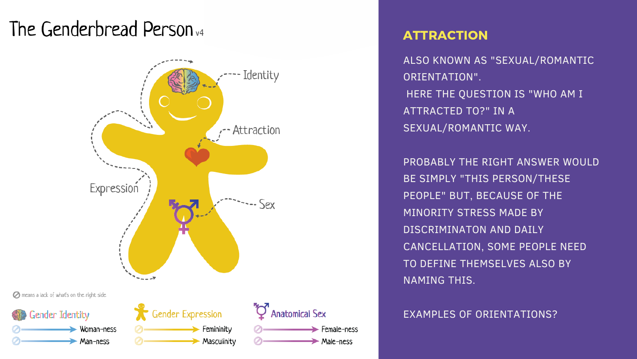ALSO KNOWN AS "SEXUAL/ROMANTIC ORIENTATION". HERE THE QUESTION IS "WHO AM I ATTRACTED TO?" IN A SEXUAL/ROMANTIC WAY.

PROBABLY THE RIGHT ANSWER WOULD BE SIMPLY "THIS PERSON/THESE PEOPLE" BUT, BECAUSE OF THE MINORITY STRESS MADE BY DISCRIMINATON AND DAILY CANCELLATION, SOME PEOPLE NEED TO DEFINE THEMSELVES ALSO BY NAMING THIS.

EXAMPLES OF ORIENTATIONS?

## The Genderbread Person<sub>v4</sub>



#### ATTRACTION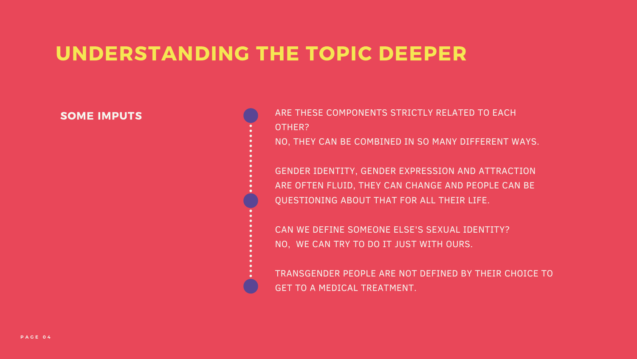ARE THESE COMPONENTS STRICTLY RELATED TO EACH OTHER? NO, THEY CAN BE COMBINED IN SO MANY DIFFERENT WAYS.

GENDER IDENTITY, GENDER EXPRESSION AND ATTRACTION ARE OFTEN FLUID, THEY CAN CHANGE AND PEOPLE CAN BE QUESTIONING ABOUT THAT FOR ALL THEIR LIFE.

CAN WE DEFINE SOMEONE ELSE'S SEXUAL IDENTITY? NO, WE CAN TRY TO DO IT JUST WITH OURS.

TRANSGENDER PEOPLE ARE NOT DEFINED BY THEIR CHOICE TO GET TO A MEDICAL TREATMENT.

#### SOME IMPUTS

# UNDERSTANDING THE TOPIC DEEPER